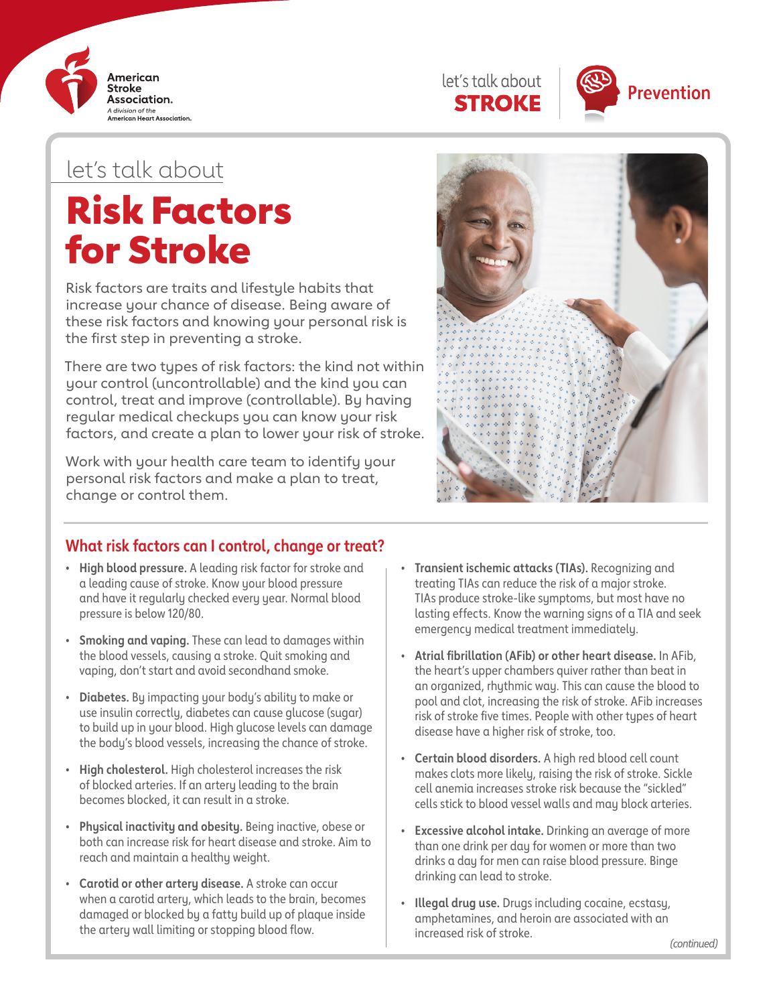





## let's talk about

# Risk Factors for Stroke

Risk factors are traits and lifestyle habits that increase your chance of disease. Being aware of these risk factors and knowing your personal risk is the first step in preventing a stroke.

There are two types of risk factors: the kind not within your control (uncontrollable) and the kind you can control, treat and improve (controllable). By having regular medical checkups you can know your risk factors, and create a plan to lower your risk of stroke.

Work with your health care team to identify your personal risk factors and make a plan to treat, change or control them.



### **What risk factors can I control, change or treat?**

- **• High blood pressure.** A leading risk factor for stroke and a leading cause of stroke. Know your blood pressure and have it regularly checked every year. Normal blood pressure is below 120/80.
- **• Smoking and vaping.** These can lead to damages within the blood vessels, causing a stroke. Quit smoking and vaping, don't start and avoid secondhand smoke.
- **• Diabetes.** By impacting your body's ability to make or use insulin correctly, diabetes can cause glucose (sugar) to build up in your blood. High glucose levels can damage the body's blood vessels, increasing the chance of stroke.
- **• High cholesterol.** High cholesterol increases the risk of blocked arteries. If an artery leading to the brain becomes blocked, it can result in a stroke.
- **• Physical inactivity and obesity.** Being inactive, obese or both can increase risk for heart disease and stroke. Aim to reach and maintain a healthy weight.
- **• Carotid or other artery disease.** A stroke can occur when a carotid artery, which leads to the brain, becomes damaged or blocked by a fatty build up of plaque inside the artery wall limiting or stopping blood flow.
- **• Transient ischemic attacks (TIAs).** Recognizing and treating TIAs can reduce the risk of a major stroke. TIAs produce stroke-like symptoms, but most have no lasting effects. Know the warning signs of a TIA and seek emergency medical treatment immediately.
- **• Atrial fibrillation (AFib) or other heart disease.** In AFib, the heart's upper chambers quiver rather than beat in an organized, rhythmic way. This can cause the blood to pool and clot, increasing the risk of stroke. AFib increases risk of stroke five times. People with other types of heart disease have a higher risk of stroke, too.
- **• Certain blood disorders.** A high red blood cell count makes clots more likely, raising the risk of stroke. Sickle cell anemia increases stroke risk because the "sickled" cells stick to blood vessel walls and may block arteries.
- **• Excessive alcohol intake.** Drinking an average of more than one drink per day for women or more than two drinks a day for men can raise blood pressure. Binge drinking can lead to stroke.
- **• Illegal drug use.** Drugs including cocaine, ecstasy, amphetamines, and heroin are associated with an increased risk of stroke.